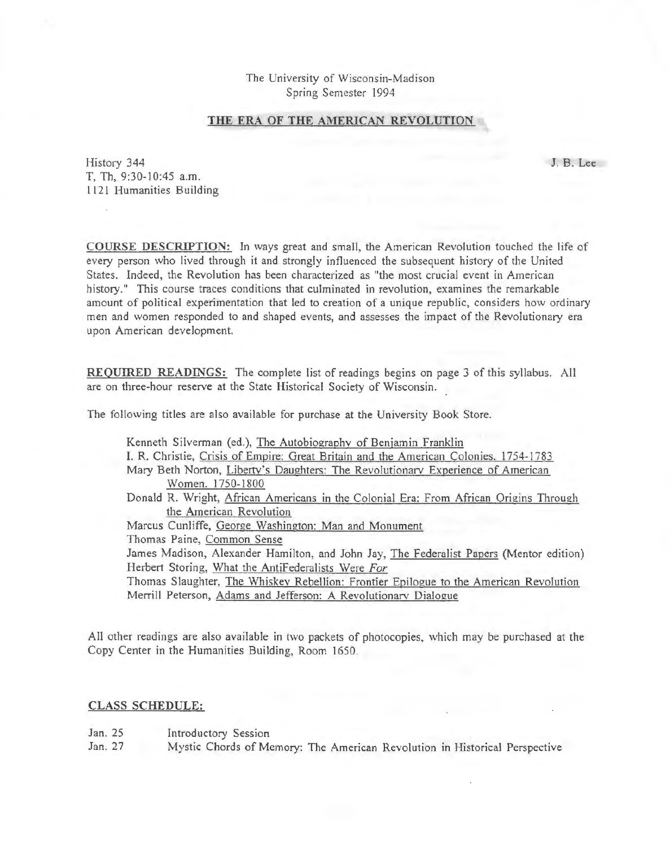The University of Wisconsin-Madison Spring Semester 1994

## THE ERA OF THE AMERICAN REVOLUTION

History 344 J. B. Lee T, Th, 9:30-10:45 a.m. 1121 Humanities Building

COURSE DESCRIPTION: In ways great and small, the American Revolution touched the life of every person who lived through it and strongly influenced the subsequent history of the United States. Indeed, the Revolution has been characterized as "the most crucial event in American history." This course traces conditions that culminated in revolution, examines the remarkable amount of political experimentation that led to creation of a unique republic, considers how ordinary men and women responded to and shaped events, and assesses the impact of the Revolutionary era upon American development.

REQUIRED READINGS: The complete list of readings begins on page 3 of this syllabus. All are on three-hour reserve at the State Historical Society of Wisconsin.

The following titles are also available for purchase at the University Book Store.

| Kenneth Silverman (ed.), The Autobiography of Benjamin Franklin                         |
|-----------------------------------------------------------------------------------------|
| I. R. Christie, Crisis of Empire: Great Britain and the American Colonies, 1754-1783    |
| Mary Beth Norton, Liberty's Daughters: The Revolutionary Experience of American         |
| Women. 1750-1800                                                                        |
| Donald R. Wright, African Americans in the Colonial Era: From African Origins Through   |
| the American Revolution                                                                 |
| Marcus Cunliffe, George Washington: Man and Monument                                    |
| Thomas Paine, Common Sense                                                              |
| James Madison, Alexander Hamilton, and John Jay, The Federalist Papers (Mentor edition) |
| Herbert Storing, What the AntiFederalists Were For                                      |
| Thomas Slaughter, The Whiskey Rebellion: Frontier Epilogue to the American Revolution   |
| Merrill Peterson, Adams and Jefferson: A Revolutionary Dialogue                         |

All other readings are also available in two packets of photocopies, which may be purchased at the Copy Center in the Humanities Building, Room 1650.

## CLASS SCHEDULE:

Jan. 25 Introductory Session

Jan. 27 Mystic Chords of Memory: The American Revolution in Historical Perspective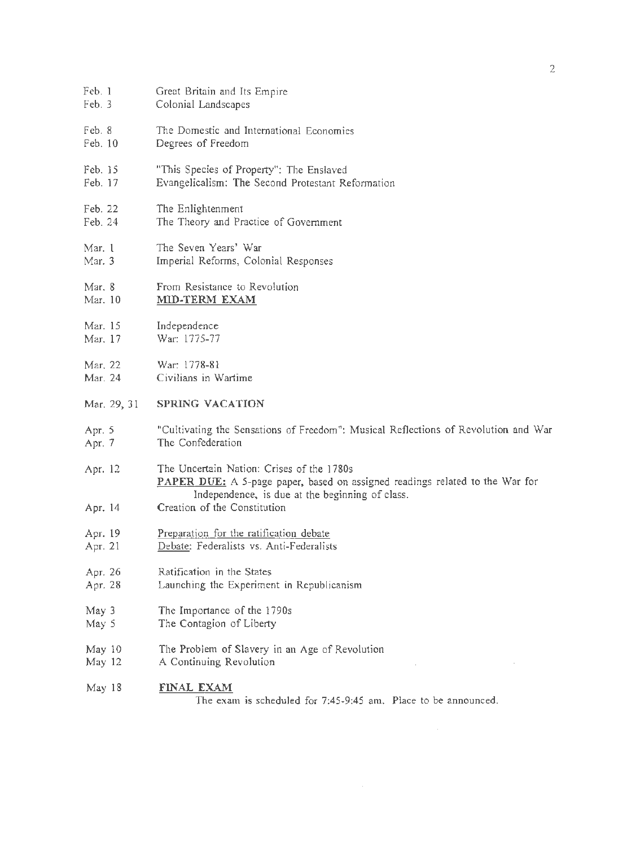| Feb. 1      | Great Britain and Its Empire                                                                                                                                                        |
|-------------|-------------------------------------------------------------------------------------------------------------------------------------------------------------------------------------|
| Feb. 3      | Colonial Landscapes                                                                                                                                                                 |
| Feb. 8      | The Domestic and International Economies                                                                                                                                            |
| Feb. 10     | Degrees of Freedom                                                                                                                                                                  |
| Feb. 15     | "This Species of Property": The Enslaved                                                                                                                                            |
| Feb. 17     | Evangelicalism: The Second Protestant Reformation                                                                                                                                   |
| Feb. 22     | The Enlightenment                                                                                                                                                                   |
| Feb. 24     | The Theory and Practice of Government                                                                                                                                               |
| Mar. 1      | The Seven Years' War                                                                                                                                                                |
| Mar. 3      | Imperial Reforms, Colonial Responses                                                                                                                                                |
| Mar. 8      | From Resistance to Revolution                                                                                                                                                       |
| Mar. 10     | MID-TERM EXAM                                                                                                                                                                       |
| Mar. 15     | Independence                                                                                                                                                                        |
| Mar. 17     | War: 1775-77                                                                                                                                                                        |
| Mar. 22     | War: 1778-81                                                                                                                                                                        |
| Mar. 24     | Civilians in Wartime                                                                                                                                                                |
| Mar. 29, 31 | <b>SPRING VACATION</b>                                                                                                                                                              |
| Apr. 5      | "Cultivating the Sensations of Freedom": Musical Reflections of Revolution and War                                                                                                  |
| Apr. 7      | The Confederation                                                                                                                                                                   |
| Apr. 12     | The Uncertain Nation: Crises of the 1780s<br><b>PAPER DUE:</b> A 5-page paper, based on assigned readings related to the War for<br>Independence, is due at the beginning of class. |
| Apr. 14     | Creation of the Constitution                                                                                                                                                        |
| Apr. 19     | Preparation for the ratification debate                                                                                                                                             |
| Apr. 21     | Debate: Federalists vs. Anti-Federalists                                                                                                                                            |
| Арг. 26     | Ratification in the States                                                                                                                                                          |
| Apr. 28     | Launching the Experiment in Republicanism                                                                                                                                           |
| May 3       | The Importance of the 1790s                                                                                                                                                         |
| May 5       | The Contagion of Liberty                                                                                                                                                            |
| May 10      | The Problem of Slavery in an Age of Revolution                                                                                                                                      |
| May 12      | A Continuing Revolution                                                                                                                                                             |
| May 18      | <b>FINAL EXAM</b><br>The exam is scheduled for 7:45-9:45 am. Place to be announced.                                                                                                 |
|             |                                                                                                                                                                                     |

 $\label{eq:2.1} \frac{1}{2} \sum_{i=1}^n \frac{1}{2} \sum_{j=1}^n \frac{1}{2} \sum_{j=1}^n \frac{1}{2} \sum_{j=1}^n \frac{1}{2} \sum_{j=1}^n \frac{1}{2} \sum_{j=1}^n \frac{1}{2} \sum_{j=1}^n \frac{1}{2} \sum_{j=1}^n \frac{1}{2} \sum_{j=1}^n \frac{1}{2} \sum_{j=1}^n \frac{1}{2} \sum_{j=1}^n \frac{1}{2} \sum_{j=1}^n \frac{1}{2} \sum_{j=1}^n \frac{$ 

 $\label{eq:2.1} \frac{1}{\sqrt{2}}\int_{0}^{\infty}\frac{1}{\sqrt{2\pi}}\left(\frac{1}{\sqrt{2\pi}}\right)^{2}d\mu_{\rm{max}}\left(\frac{1}{\sqrt{2\pi}}\right).$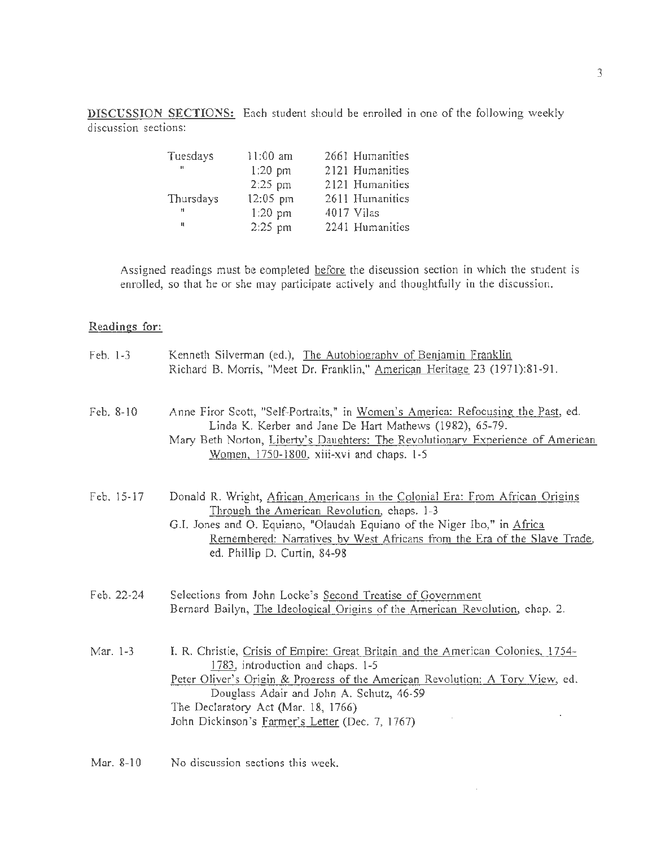DISCUSSION SECTIONS: Each student should be enrolled in one of the following weekly discussion sections:

| Tuesdays  | $11:00$ am | 2661 Humanities |
|-----------|------------|-----------------|
| ш         | $1:20$ pm  | 2121 Humanities |
|           | 2:25 pm    | 2121 Humanities |
| Thursdays | 12:05 pm   | 2611 Humanities |
| Ħ.        | $1:20$ pm  | 4017 Vilas      |
| п         | 2:25 pm    | 2241 Humanities |

Assigned readings must be completed before the discussion section in which the student is enrolled, so that he or she may participate actively and thoughtfully in the discussion.

## Readings for:

| $Feb. 1-3$ | Kenneth Silverman (ed.), The Autobiography of Benjamin Franklin<br>Richard B. Morris, "Meet Dr. Franklin," American Heritage 23 (1971):81-91.                                                                                                                                                                                                |
|------------|----------------------------------------------------------------------------------------------------------------------------------------------------------------------------------------------------------------------------------------------------------------------------------------------------------------------------------------------|
| Feb. 8-10  | Anne Firor Scott, "Self-Portraits," in Women's America: Refocusing the Past, ed.<br>Linda K. Kerber and Jane De Hart Mathews (1982), 65-79.<br>Mary Beth Norton, Liberty's Daughters: The Revolutionary Experience of American<br>Women, 1750-1800, xiii-xvi and chaps. 1-5                                                                  |
| Feb. 15-17 | Donald R. Wright, African Americans in the Colonial Era: From African Origins<br>Through the American Revolution, chaps. 1-3<br>G.I. Jones and O. Equiano, "Olaudah Equiano of the Niger Ibo," in Africa<br>Remembered: Narratives by West Africans from the Era of the Slave Trade,<br>ed. Phillip D. Curtin, 84-98                         |
| Feb. 22-24 | Selections from John Locke's Second Treatise of Government<br>Bernard Bailyn, The Ideological Origins of the American Revolution, chap. 2.                                                                                                                                                                                                   |
| Mar. 1-3   | I. R. Christie, Crisis of Empire: Great Britain and the American Colonies, 1754-<br>1783, introduction and chaps. 1-5<br>Peter Oliver's Origin & Progress of the American Revolution: A Tory View, ed.<br>Douglass Adair and John A. Schutz, 46-59<br>The Declaratory Act (Mar. 18, 1766)<br>John Dickinson's Farmer's Letter (Dec. 7, 1767) |

 $\sim$ 

Mar. 8-10 No discussion sections this week.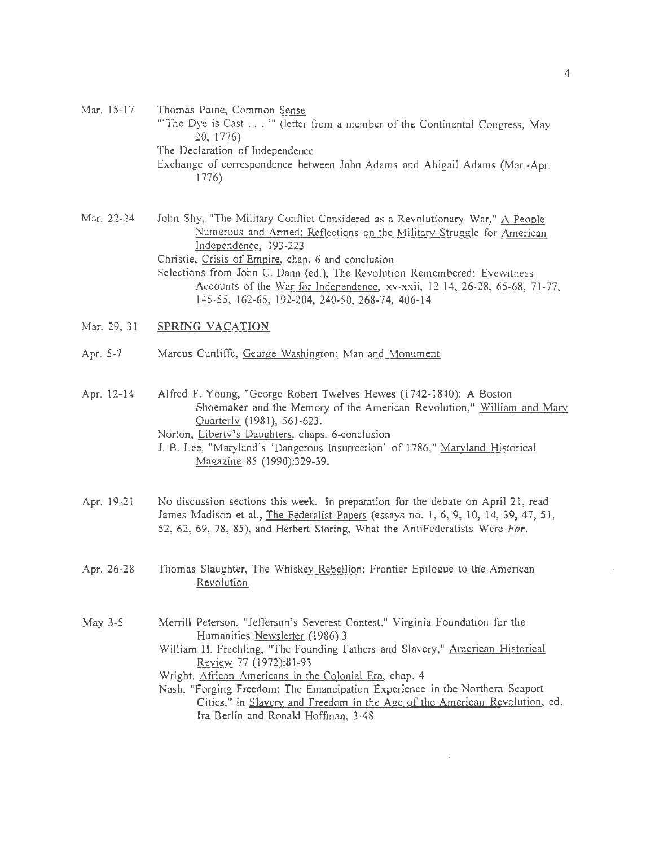Mar. 15-17 Thomas Paine, Common Sense '"The Dye is Cast ... "' (letter from a member of the Continental Congress, May 20, 1776) The Declaration of Independence Exchange of correspondence between John Adams and Abigail Adams (Mar.-Apr. 1776)

Mar. 22-24 John Shy, "The Military Conflict Considered as a Revolutionary War," A People Numerous and Armed: Reflections on the Militarv Struggle for American Independence, 193-223 Christie, Crisis of Empire, chap. 6 and conclusion Selections from John C. Dann (ed.), The Revolution Remembered: Evewitness Accounts of the War for Independence, xv-xxii, 12-14, 26-28, 65-68, 71-77, 145-55, 162-65, 192-204, 240-50, 268-74, 406-14

- Mar. 29, 31 SPRING VACATION
- Apr. 5-7 Marcus Cunliffe, George Washington: Man and Monument

Apr. 12-14 Alfred F. Young, "George Robert Twelves Hewes (1742-1840): A Boston Shoemaker and the Memory of the American Revolution," William and Marv Quarterly (1981), 561-623. Norton, Liberty's Daughters, chaps. 6-conclusion

- J. B. Lee, "Maryland's 'Dangerous Insurrection' of 1786," Marvland Historical Magazine 85 (1990):329-39.
- Apr. 19-21 No discussion sections this week. In preparation for the debate on April 21, read James Madison et al., The Federalist Paoers (essays no. 1, 6, 9, 10, 14, 39, 47, 51, 52, 62, 69, 78, 85), and Herbert Storing, What the AntiFederalists Were *For.*
- Apr. 26-28 Thomas Slaughter, The Whiskey Rebellion: Frontier Epilogue to the American Revolution
- May 3-5 Merrill Peterson, "Jefferson's Severest Contest," Virginia Foundation for the Humanities Newsletter (1986):3 William H. Freehling, "The Founding Fathers and Slavery," American Historical Review 77 (1972):81-93

Wright, African Americans in the Colonial Era, chap. 4

Nash, "Forging Freedom: The Emancipation Experience in the Northern Seaport Cities," in Slavery and Freedom in the Age of the American Revolution, ed. Ira Berlin and Ronald Hoffman, 3-48